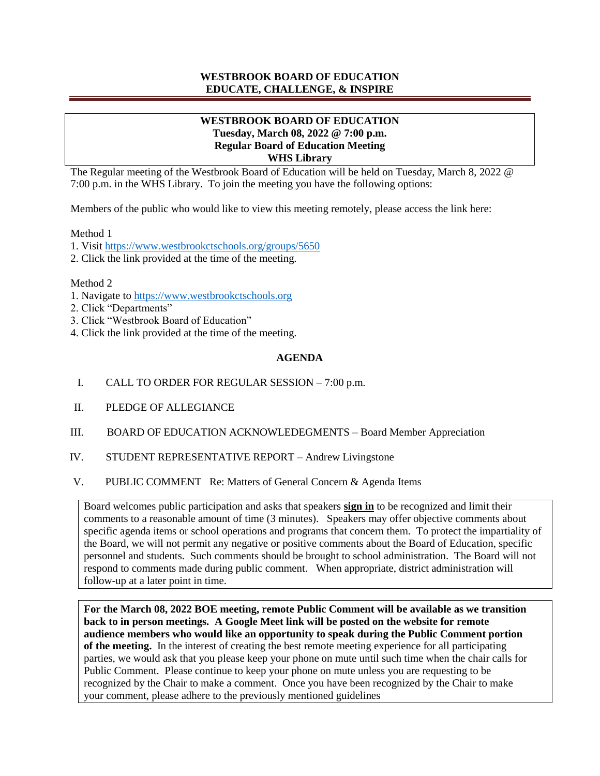# **WESTBROOK BOARD OF EDUCATION EDUCATE, CHALLENGE, & INSPIRE**

# **WESTBROOK BOARD OF EDUCATION Tuesday, March 08, 2022 @ 7:00 p.m. Regular Board of Education Meeting WHS Library**

The Regular meeting of the Westbrook Board of Education will be held on Tuesday, March 8, 2022 @ 7:00 p.m. in the WHS Library. To join the meeting you have the following options:

Members of the public who would like to view this meeting remotely, please access the link here:

Method 1

1. Visit https://www.westbrookctschools.org/groups/5650

2. Click the link provided at the time of the meeting.

Method 2

- 1. Navigate to https://www.westbrookctschools.org
- 2. Click "Departments"
- 3. Click "Westbrook Board of Education"
- 4. Click the link provided at the time of the meeting.

## **AGENDA**

- I. CALL TO ORDER FOR REGULAR SESSION 7:00 p.m.
- II. PLEDGE OF ALLEGIANCE
- III. BOARD OF EDUCATION ACKNOWLEDEGMENTS Board Member Appreciation
- IV. STUDENT REPRESENTATIVE REPORT Andrew Livingstone
- V. PUBLIC COMMENT Re: Matters of General Concern & Agenda Items

Board welcomes public participation and asks that speakers **sign in** to be recognized and limit their comments to a reasonable amount of time (3 minutes). Speakers may offer objective comments about specific agenda items or school operations and programs that concern them. To protect the impartiality of the Board, we will not permit any negative or positive comments about the Board of Education, specific personnel and students. Such comments should be brought to school administration. The Board will not respond to comments made during public comment. When appropriate, district administration will follow-up at a later point in time.

**For the March 08, 2022 BOE meeting, remote Public Comment will be available as we transition back to in person meetings. A Google Meet link will be posted on the website for remote audience members who would like an opportunity to speak during the Public Comment portion of the meeting.** In the interest of creating the best remote meeting experience for all participating parties, we would ask that you please keep your phone on mute until such time when the chair calls for Public Comment. Please continue to keep your phone on mute unless you are requesting to be recognized by the Chair to make a comment. Once you have been recognized by the Chair to make your comment, please adhere to the previously mentioned guidelines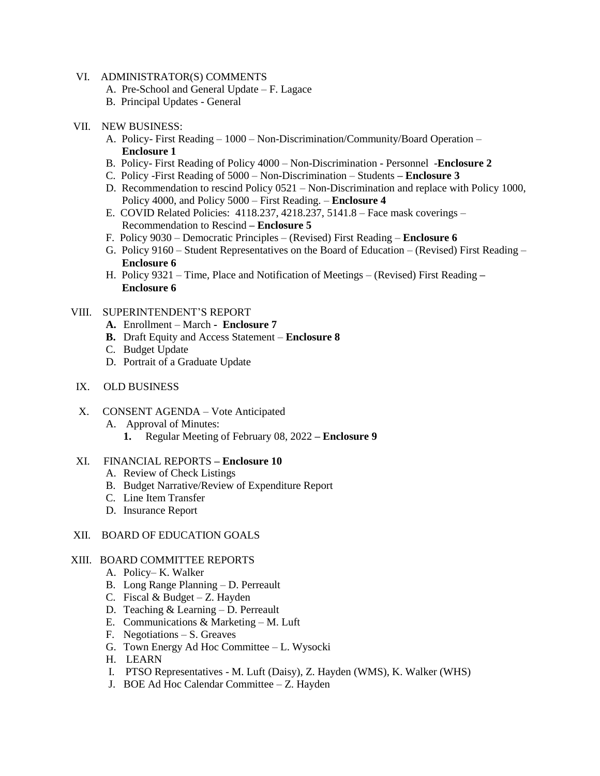### VI. ADMINISTRATOR(S) COMMENTS

- A. Pre-School and General Update F. Lagace
- B. Principal Updates General

### VII. NEW BUSINESS:

- A. Policy- First Reading 1000 Non-Discrimination/Community/Board Operation  **Enclosure 1**
- B. Policy- First Reading of Policy 4000 Non-Discrimination Personnel -**Enclosure 2**
- C. Policy -First Reading of 5000 Non-Discrimination Students **– Enclosure 3**
- D. Recommendation to rescind Policy 0521 Non-Discrimination and replace with Policy 1000, Policy 4000, and Policy 5000 – First Reading. – **Enclosure 4**
- E. COVID Related Policies: 4118.237, 4218.237, 5141.8 Face mask coverings Recommendation to Rescind **– Enclosure 5**
- F. Policy 9030 Democratic Principles (Revised) First Reading **Enclosure 6**
- G. Policy 9160 Student Representatives on the Board of Education (Revised) First Reading  **Enclosure 6**
- H. Policy 9321 Time, Place and Notification of Meetings (Revised) First Reading **– Enclosure 6**

### VIII. SUPERINTENDENT'S REPORT

- **A.** Enrollment March  **Enclosure 7**
- **B.** Draft Equity and Access Statement **Enclosure 8**
- C. Budget Update
- D. Portrait of a Graduate Update
- IX. OLD BUSINESS
- X. CONSENT AGENDA Vote Anticipated
	- A. Approval of Minutes:
		- **1.** Regular Meeting of February 08, 2022 **– Enclosure 9**

#### XI. FINANCIAL REPORTS **– Enclosure 10**

- A. Review of Check Listings
- B. Budget Narrative/Review of Expenditure Report
- C. Line Item Transfer
- D. Insurance Report

#### XII. BOARD OF EDUCATION GOALS

#### XIII. BOARD COMMITTEE REPORTS

- A. Policy– K. Walker
- B. Long Range Planning D. Perreault
- C. Fiscal  $& Budget Z$ . Hayden
- D. Teaching & Learning D. Perreault
- E. Communications & Marketing M. Luft
- F. Negotiations S. Greaves
- G. Town Energy Ad Hoc Committee L. Wysocki
- H. LEARN
- I. PTSO Representatives M. Luft (Daisy), Z. Hayden (WMS), K. Walker (WHS)
- J. BOE Ad Hoc Calendar Committee Z. Hayden